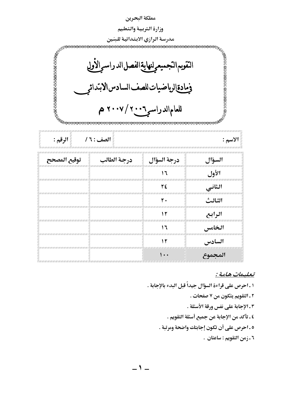| مملكة البحرين                                                                                                                                                                                     |                                                                                                                    |             |                                        |  |  |
|---------------------------------------------------------------------------------------------------------------------------------------------------------------------------------------------------|--------------------------------------------------------------------------------------------------------------------|-------------|----------------------------------------|--|--|
| وزارة التربية والتعليم                                                                                                                                                                            |                                                                                                                    |             |                                        |  |  |
| مدرسة الرازي الابتدائية للبنين                                                                                                                                                                    |                                                                                                                    |             |                                        |  |  |
| $\mu$ - a construction of the constant of $\mu_{\rm th}$<br>医正式正式正式正式正式正式正式正式<br>التقويم التجميعرلنهاية الفصل الدراسر الأولي<br>ومادةالرياضيات للصف السادس الابتدائر<br>للعامالدراسر ۲۰۰۰\ ۲۰۰۷ م |                                                                                                                    |             |                                        |  |  |
| الصف : ١ /<br>الرقم :<br>الاسم :                                                                                                                                                                  |                                                                                                                    |             |                                        |  |  |
| توقيع المصحح                                                                                                                                                                                      | درجة الطالب                                                                                                        | درجة السؤال | السؤال                                 |  |  |
|                                                                                                                                                                                                   |                                                                                                                    | ۱٦          | الأول                                  |  |  |
|                                                                                                                                                                                                   |                                                                                                                    | ٢٤          | الثاني                                 |  |  |
|                                                                                                                                                                                                   |                                                                                                                    | ٢٠          | الثالث                                 |  |  |
|                                                                                                                                                                                                   |                                                                                                                    | ۱۲          | الرابع                                 |  |  |
| in and an anchorate in the company of the state of the state state and state that the state of the state of the                                                                                   |                                                                                                                    | ۱٦          | الخامس<br><b>PUTURUP UP UP UP UP U</b> |  |  |
|                                                                                                                                                                                                   |                                                                                                                    | ۱۲          | السادس                                 |  |  |
|                                                                                                                                                                                                   | A 2014 AND A 2014 AND A 2014 AND A 2014 AND A 2014 AND AND AND ARR AND ARR AND ARR AND ARR AND ARR AND ARR AND ARR | ۰۰۱         | المجموع                                |  |  |

<u>تعليمات هاهة :</u>

١ ـ احرص على قراءة السؤال جيداً قبل البدء بالإجابة . ٢ ـ التقويم يتكون من ٧ صفحات . ٢ ـ الإجابة على نفس ورقة الأسئلة . ٤ ـ تأكد من الإجابة عن جميع أسئلة التقويم . ٥ ـ احرص على أن تكون إجابتك واضحة ومرتبة . ٦ ـ زمن التقويم : ساعتان .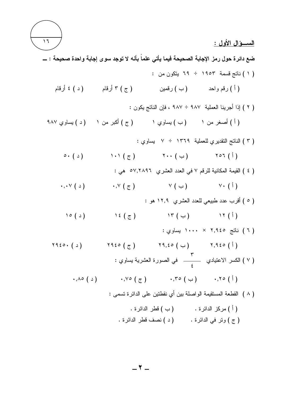

 $-7-$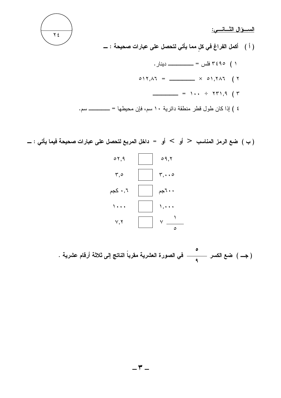<u>الســــوال الثــــانــــى:</u>



( ب ) ضع الرمز المناسب  $\,$  أو  $\,$  أو  $\,$  داخل المربع لتحصل على عبارات صحيحة فيما يأتي : ـــ



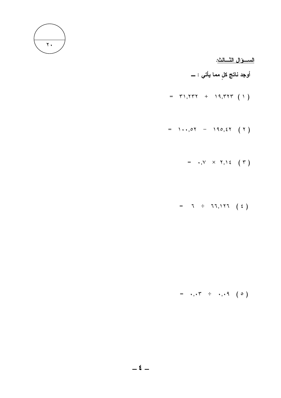

<u>الســــوَال النّـــالث:</u>

أوجد ناتج كلٍ مما يأتي : ـــ

- $=$   $\uparrow$  1,  $\uparrow$   $\uparrow$   $+$  19,  $\uparrow$   $\uparrow$   $(1)$
- =  $1 \cdot 1.04 190.57 (1)$

$$
= \quad \bullet \; , \forall \quad \times \quad \forall \; , \forall \; \epsilon \quad (\; \tau \; )
$$

 $= 7 \div 77,177 (2)$ 

 $= , . , . \cdot + , . , . 9$  (0)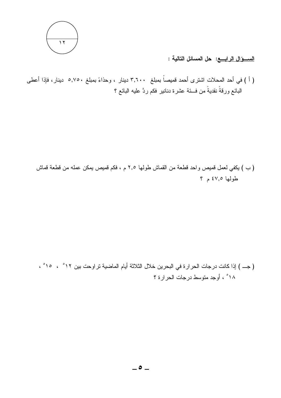

ا<u>لســــوَال الرابــــع</u>: حل المسائل التالية :

( أ ) في أحد المحلات اشترى أحمد قميصاً بمبلغ ٣,٦٠٠ دينار ، وحذاءً بمبلغ ٥,٧٥٠ دينار، فإذا أعطى البائع ورقةً نقديةً من فــــئة عشرة دنانير فكم ردَّ عليه البائع ؟

(ب ) يكفي لعمل قميص واحد قطعة من القماش طولها ٢٫٥ م ، فكم قميص يمكن عمله من قطعة قماش طولها ٤٧,٥ م ؟

( جـــ ) إذا كانت درجات الحرار ة في البحرين خلال الثلاثة أيام الماضية تراوحت بين ١٢° ، ( ° ، ١٨° ، أوجد متوسط درجات الحرارة ؟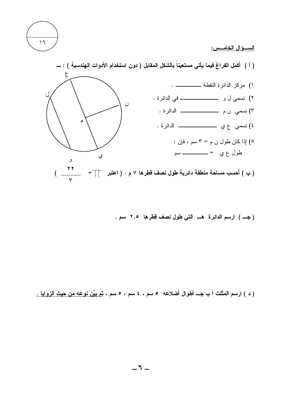

<u>الســـــوْال الخامــــس:</u>



( جـــ ) ارسم الدائرة هـــ التي طول نصف قطرها ٢,٥ سم .

( د ) ارسم المثلث أ ب جـــ أطوال أضلاعه ٥ سم ، ٤ سم ، ٥ سم ، <u>ثم بيِّن نوعه من حيث الزوايا .</u>